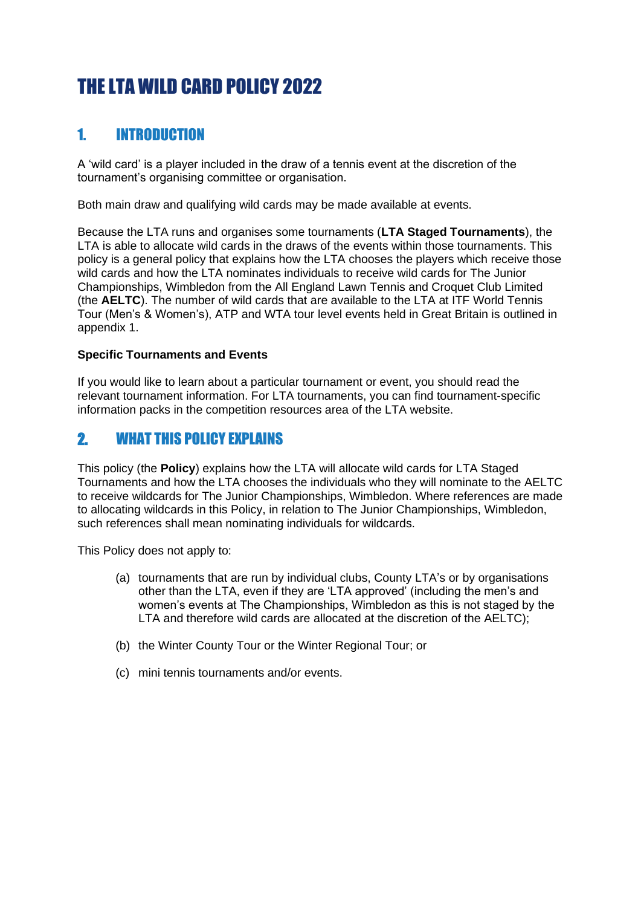# THE LTA WILD CARD POLICY 2022

# 1. INTRODUCTION

A 'wild card' is a player included in the draw of a tennis event at the discretion of the tournament's organising committee or organisation.

Both main draw and qualifying wild cards may be made available at events.

Because the LTA runs and organises some tournaments (**LTA Staged Tournaments**), the LTA is able to allocate wild cards in the draws of the events within those tournaments. This policy is a general policy that explains how the LTA chooses the players which receive those wild cards and how the LTA nominates individuals to receive wild cards for The Junior Championships, Wimbledon from the All England Lawn Tennis and Croquet Club Limited (the **AELTC**). The number of wild cards that are available to the LTA at ITF World Tennis Tour (Men's & Women's), ATP and WTA tour level events held in Great Britain is outlined in appendix 1.

#### **Specific Tournaments and Events**

If you would like to learn about a particular tournament or event, you should read the relevant tournament information. For LTA tournaments, you can find tournament-specific information packs in the competition resources area of the LTA website.

# 2. WHAT THIS POLICY EXPLAINS

This policy (the **Policy**) explains how the LTA will allocate wild cards for LTA Staged Tournaments and how the LTA chooses the individuals who they will nominate to the AELTC to receive wildcards for The Junior Championships, Wimbledon. Where references are made to allocating wildcards in this Policy, in relation to The Junior Championships, Wimbledon, such references shall mean nominating individuals for wildcards.

This Policy does not apply to:

- (a) tournaments that are run by individual clubs, County LTA's or by organisations other than the LTA, even if they are 'LTA approved' (including the men's and women's events at The Championships, Wimbledon as this is not staged by the LTA and therefore wild cards are allocated at the discretion of the AELTC);
- (b) the Winter County Tour or the Winter Regional Tour; or
- (c) mini tennis tournaments and/or events.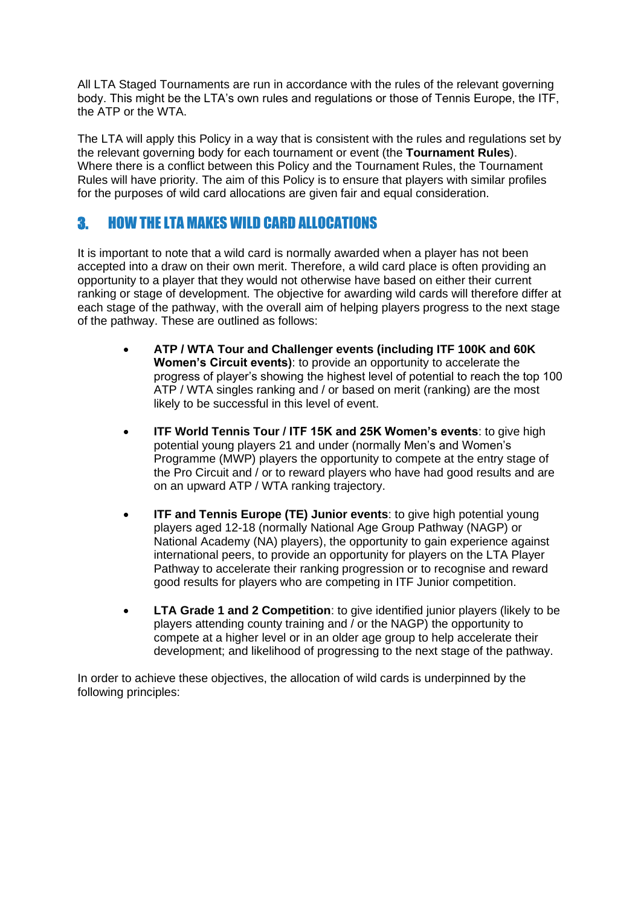All LTA Staged Tournaments are run in accordance with the rules of the relevant governing body. This might be the LTA's own rules and regulations or those of Tennis Europe, the ITF, the ATP or the WTA.

The LTA will apply this Policy in a way that is consistent with the rules and regulations set by the relevant governing body for each tournament or event (the **Tournament Rules**). Where there is a conflict between this Policy and the Tournament Rules, the Tournament Rules will have priority. The aim of this Policy is to ensure that players with similar profiles for the purposes of wild card allocations are given fair and equal consideration.

# 3. HOW THE LTA MAKES WILD CARD ALLOCATIONS

It is important to note that a wild card is normally awarded when a player has not been accepted into a draw on their own merit. Therefore, a wild card place is often providing an opportunity to a player that they would not otherwise have based on either their current ranking or stage of development. The objective for awarding wild cards will therefore differ at each stage of the pathway, with the overall aim of helping players progress to the next stage of the pathway. These are outlined as follows:

- **ATP / WTA Tour and Challenger events (including ITF 100K and 60K Women's Circuit events)**: to provide an opportunity to accelerate the progress of player's showing the highest level of potential to reach the top 100 ATP / WTA singles ranking and / or based on merit (ranking) are the most likely to be successful in this level of event.
- **ITF World Tennis Tour / ITF 15K and 25K Women's events**: to give high potential young players 21 and under (normally Men's and Women's Programme (MWP) players the opportunity to compete at the entry stage of the Pro Circuit and / or to reward players who have had good results and are on an upward ATP / WTA ranking trajectory.
- **ITF and Tennis Europe (TE) Junior events**: to give high potential young players aged 12-18 (normally National Age Group Pathway (NAGP) or National Academy (NA) players), the opportunity to gain experience against international peers, to provide an opportunity for players on the LTA Player Pathway to accelerate their ranking progression or to recognise and reward good results for players who are competing in ITF Junior competition.
- **LTA Grade 1 and 2 Competition**: to give identified junior players (likely to be players attending county training and / or the NAGP) the opportunity to compete at a higher level or in an older age group to help accelerate their development; and likelihood of progressing to the next stage of the pathway.

In order to achieve these objectives, the allocation of wild cards is underpinned by the following principles: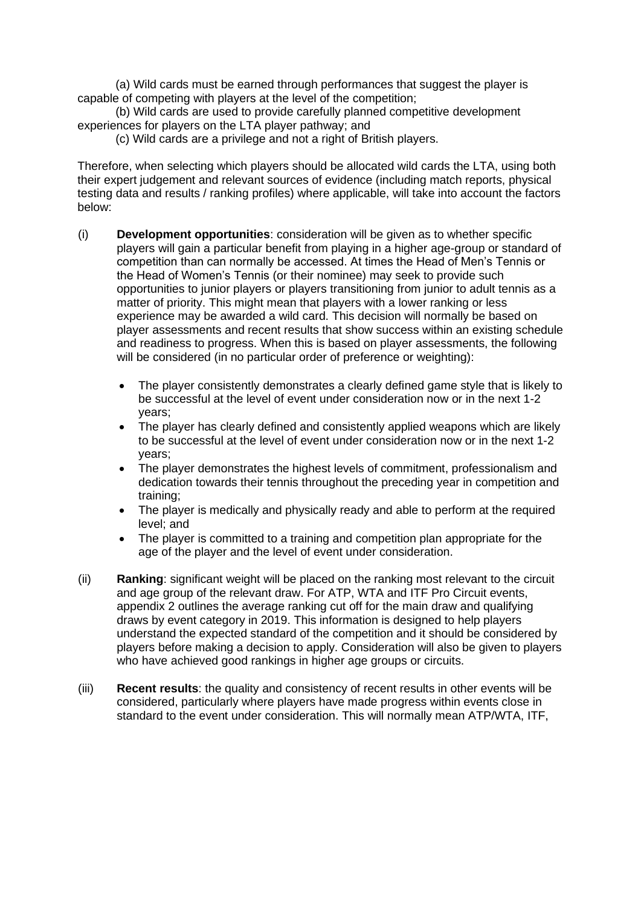(a) Wild cards must be earned through performances that suggest the player is capable of competing with players at the level of the competition;

(b) Wild cards are used to provide carefully planned competitive development experiences for players on the LTA player pathway; and

(c) Wild cards are a privilege and not a right of British players.

Therefore, when selecting which players should be allocated wild cards the LTA, using both their expert judgement and relevant sources of evidence (including match reports, physical testing data and results / ranking profiles) where applicable, will take into account the factors below:

- (i) **Development opportunities**: consideration will be given as to whether specific players will gain a particular benefit from playing in a higher age-group or standard of competition than can normally be accessed. At times the Head of Men's Tennis or the Head of Women's Tennis (or their nominee) may seek to provide such opportunities to junior players or players transitioning from junior to adult tennis as a matter of priority. This might mean that players with a lower ranking or less experience may be awarded a wild card. This decision will normally be based on player assessments and recent results that show success within an existing schedule and readiness to progress. When this is based on player assessments, the following will be considered (in no particular order of preference or weighting):
	- The player consistently demonstrates a clearly defined game style that is likely to be successful at the level of event under consideration now or in the next 1-2 years;
	- The player has clearly defined and consistently applied weapons which are likely to be successful at the level of event under consideration now or in the next 1-2 years;
	- The player demonstrates the highest levels of commitment, professionalism and dedication towards their tennis throughout the preceding year in competition and training;
	- The player is medically and physically ready and able to perform at the required level; and
	- The player is committed to a training and competition plan appropriate for the age of the player and the level of event under consideration.
- (ii) **Ranking**: significant weight will be placed on the ranking most relevant to the circuit and age group of the relevant draw. For ATP, WTA and ITF Pro Circuit events, appendix 2 outlines the average ranking cut off for the main draw and qualifying draws by event category in 2019. This information is designed to help players understand the expected standard of the competition and it should be considered by players before making a decision to apply. Consideration will also be given to players who have achieved good rankings in higher age groups or circuits.
- (iii) **Recent results**: the quality and consistency of recent results in other events will be considered, particularly where players have made progress within events close in standard to the event under consideration. This will normally mean ATP/WTA, ITF,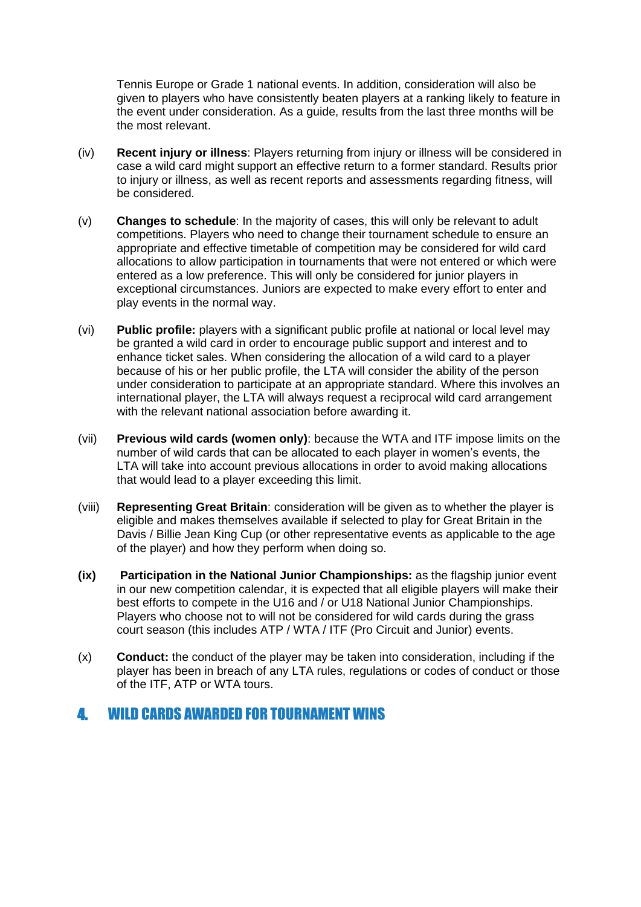Tennis Europe or Grade 1 national events. In addition, consideration will also be given to players who have consistently beaten players at a ranking likely to feature in the event under consideration. As a guide, results from the last three months will be the most relevant.

- (iv) **Recent injury or illness**: Players returning from injury or illness will be considered in case a wild card might support an effective return to a former standard. Results prior to injury or illness, as well as recent reports and assessments regarding fitness, will be considered.
- (v) **Changes to schedule**: In the majority of cases, this will only be relevant to adult competitions. Players who need to change their tournament schedule to ensure an appropriate and effective timetable of competition may be considered for wild card allocations to allow participation in tournaments that were not entered or which were entered as a low preference. This will only be considered for junior players in exceptional circumstances. Juniors are expected to make every effort to enter and play events in the normal way.
- (vi) **Public profile:** players with a significant public profile at national or local level may be granted a wild card in order to encourage public support and interest and to enhance ticket sales. When considering the allocation of a wild card to a player because of his or her public profile, the LTA will consider the ability of the person under consideration to participate at an appropriate standard. Where this involves an international player, the LTA will always request a reciprocal wild card arrangement with the relevant national association before awarding it.
- (vii) **Previous wild cards (women only)**: because the WTA and ITF impose limits on the number of wild cards that can be allocated to each player in women's events, the LTA will take into account previous allocations in order to avoid making allocations that would lead to a player exceeding this limit.
- (viii) **Representing Great Britain**: consideration will be given as to whether the player is eligible and makes themselves available if selected to play for Great Britain in the Davis / Billie Jean King Cup (or other representative events as applicable to the age of the player) and how they perform when doing so.
- **(ix) Participation in the National Junior Championships:** as the flagship junior event in our new competition calendar, it is expected that all eligible players will make their best efforts to compete in the U16 and / or U18 National Junior Championships. Players who choose not to will not be considered for wild cards during the grass court season (this includes ATP / WTA / ITF (Pro Circuit and Junior) events.
- (x) **Conduct:** the conduct of the player may be taken into consideration, including if the player has been in breach of any LTA rules, regulations or codes of conduct or those of the ITF, ATP or WTA tours.

### 4. WILD CARDS AWARDED FOR TOURNAMENT WINS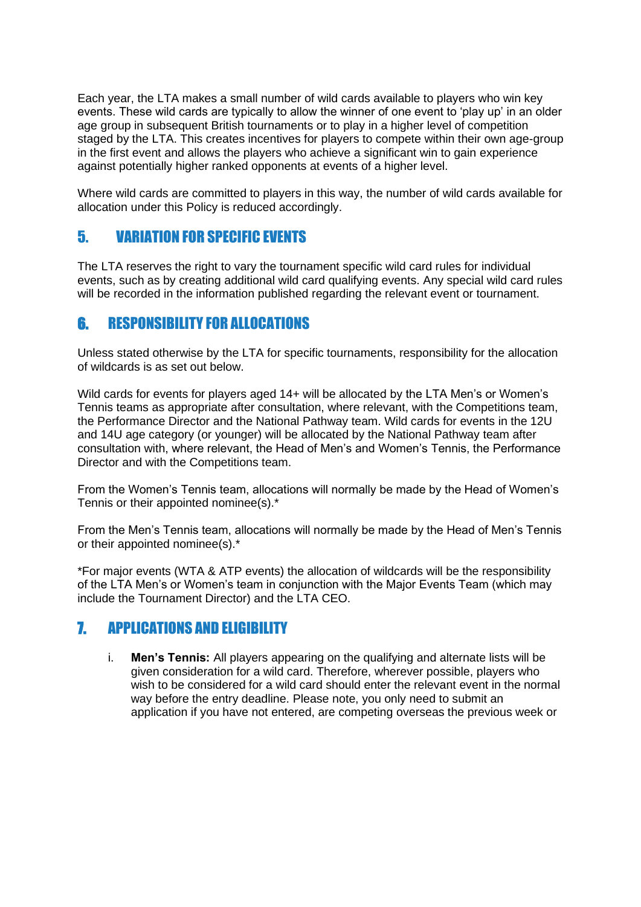Each year, the LTA makes a small number of wild cards available to players who win key events. These wild cards are typically to allow the winner of one event to 'play up' in an older age group in subsequent British tournaments or to play in a higher level of competition staged by the LTA. This creates incentives for players to compete within their own age-group in the first event and allows the players who achieve a significant win to gain experience against potentially higher ranked opponents at events of a higher level.

Where wild cards are committed to players in this way, the number of wild cards available for allocation under this Policy is reduced accordingly.

### 5. VARIATION FOR SPECIFIC EVENTS

The LTA reserves the right to vary the tournament specific wild card rules for individual events, such as by creating additional wild card qualifying events. Any special wild card rules will be recorded in the information published regarding the relevant event or tournament.

### 6. RESPONSIBILITY FOR ALLOCATIONS

Unless stated otherwise by the LTA for specific tournaments, responsibility for the allocation of wildcards is as set out below.

Wild cards for events for players aged 14+ will be allocated by the LTA Men's or Women's Tennis teams as appropriate after consultation, where relevant, with the Competitions team, the Performance Director and the National Pathway team. Wild cards for events in the 12U and 14U age category (or younger) will be allocated by the National Pathway team after consultation with, where relevant, the Head of Men's and Women's Tennis, the Performance Director and with the Competitions team.

From the Women's Tennis team, allocations will normally be made by the Head of Women's Tennis or their appointed nominee(s).\*

From the Men's Tennis team, allocations will normally be made by the Head of Men's Tennis or their appointed nominee(s).\*

\*For major events (WTA & ATP events) the allocation of wildcards will be the responsibility of the LTA Men's or Women's team in conjunction with the Major Events Team (which may include the Tournament Director) and the LTA CEO.

### 7. APPLICATIONS AND ELIGIBILITY

i. **Men's Tennis:** All players appearing on the qualifying and alternate lists will be given consideration for a wild card. Therefore, wherever possible, players who wish to be considered for a wild card should enter the relevant event in the normal way before the entry deadline. Please note, you only need to submit an application if you have not entered, are competing overseas the previous week or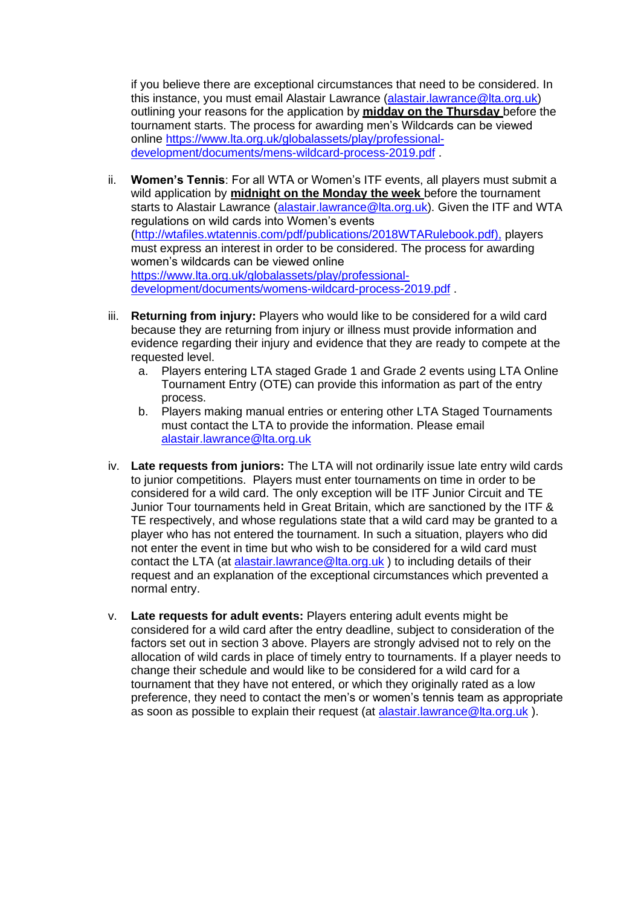if you believe there are exceptional circumstances that need to be considered. In this instance, you must email Alastair Lawrance [\(alastair.lawrance@lta.org.uk\)](mailto:alastair.lawrance@lta.org.uk) outlining your reasons for the application by **midday on the Thursday** before the tournament starts. The process for awarding men's Wildcards can be viewed online [https://www.lta.org.uk/globalassets/play/professional](https://www.lta.org.uk/globalassets/play/professional-development/documents/mens-wildcard-process-2019.pdf)[development/documents/mens-wildcard-process-2019.pdf](https://www.lta.org.uk/globalassets/play/professional-development/documents/mens-wildcard-process-2019.pdf) .

- ii. **Women's Tennis**: For all WTA or Women's ITF events, all players must submit a wild application by **midnight on the Monday the week** before the tournament starts to Alastair Lawrance [\(alastair.lawrance@lta.org.uk\)](mailto:alastair.lawrance@lta.org.uk). Given the ITF and WTA regulations on wild cards into Women's events [\(http://wtafiles.wtatennis.com/pdf/publications/2018WTARulebook.pdf](http://wtafiles.wtatennis.com/pdf/publications/2018WTARulebook.pdf)[\),](http://www.wtatennis.com/scontent/article/2972830/title/wta-rules)) players must express an interest in order to be considered. The process for awarding women's wildcards can be viewed online [https://www.lta.org.uk/globalassets/play/professional](https://www.lta.org.uk/globalassets/play/professional-development/documents/womens-wildcard-process-2019.pdf)[development/documents/womens-wildcard-process-2019.pdf](https://www.lta.org.uk/globalassets/play/professional-development/documents/womens-wildcard-process-2019.pdf) .
- iii. **Returning from injury:** Players who would like to be considered for a wild card because they are returning from injury or illness must provide information and evidence regarding their injury and evidence that they are ready to compete at the requested level.
	- a. Players entering LTA staged Grade 1 and Grade 2 events using LTA Online Tournament Entry (OTE) can provide this information as part of the entry process.
	- b. Players making manual entries or entering other LTA Staged Tournaments must contact the LTA to provide the information. Please email [alastair.lawrance@lta.org.uk](mailto:alastair.lawrance@lta.org.uk)
- iv. **Late requests from juniors:** The LTA will not ordinarily issue late entry wild cards to junior competitions. Players must enter tournaments on time in order to be considered for a wild card. The only exception will be ITF Junior Circuit and TE Junior Tour tournaments held in Great Britain, which are sanctioned by the ITF & TE respectively, and whose regulations state that a wild card may be granted to a player who has not entered the tournament. In such a situation, players who did not enter the event in time but who wish to be considered for a wild card must contact the LTA (at [alastair.lawrance@lta.org.uk](mailto:alastair.lawrance@lta.org.uk) ) to including details of their request and an explanation of the exceptional circumstances which prevented a normal entry.
- v. **Late requests for adult events:** Players entering adult events might be considered for a wild card after the entry deadline, subject to consideration of the factors set out in section 3 above. Players are strongly advised not to rely on the allocation of wild cards in place of timely entry to tournaments. If a player needs to change their schedule and would like to be considered for a wild card for a tournament that they have not entered, or which they originally rated as a low preference, they need to contact the men's or women's tennis team as appropriate as soon as possible to explain their request (at [alastair.lawrance@lta.org.uk](mailto:alastair.lawrance@lta.org.uk)).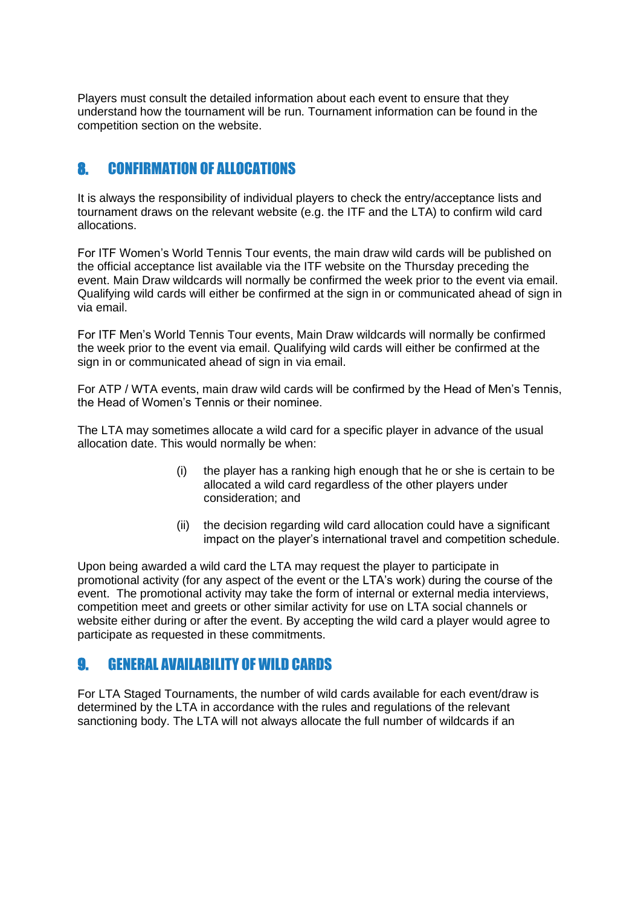Players must consult the detailed information about each event to ensure that they understand how the tournament will be run. Tournament information can be found in the competition section on the website.

# 8. CONFIRMATION OF ALLOCATIONS

It is always the responsibility of individual players to check the entry/acceptance lists and tournament draws on the relevant website (e.g. the ITF and the LTA) to confirm wild card allocations.

For ITF Women's World Tennis Tour events, the main draw wild cards will be published on the official acceptance list available via the ITF website on the Thursday preceding the event. Main Draw wildcards will normally be confirmed the week prior to the event via email. Qualifying wild cards will either be confirmed at the sign in or communicated ahead of sign in via email.

For ITF Men's World Tennis Tour events, Main Draw wildcards will normally be confirmed the week prior to the event via email. Qualifying wild cards will either be confirmed at the sign in or communicated ahead of sign in via email.

For ATP / WTA events, main draw wild cards will be confirmed by the Head of Men's Tennis, the Head of Women's Tennis or their nominee.

The LTA may sometimes allocate a wild card for a specific player in advance of the usual allocation date. This would normally be when:

- (i) the player has a ranking high enough that he or she is certain to be allocated a wild card regardless of the other players under consideration; and
- (ii) the decision regarding wild card allocation could have a significant impact on the player's international travel and competition schedule.

Upon being awarded a wild card the LTA may request the player to participate in promotional activity (for any aspect of the event or the LTA's work) during the course of the event. The promotional activity may take the form of internal or external media interviews, competition meet and greets or other similar activity for use on LTA social channels or website either during or after the event. By accepting the wild card a player would agree to participate as requested in these commitments.

### 9. GENERAL AVAILABILITY OF WILD CARDS

For LTA Staged Tournaments, the number of wild cards available for each event/draw is determined by the LTA in accordance with the rules and regulations of the relevant sanctioning body. The LTA will not always allocate the full number of wildcards if an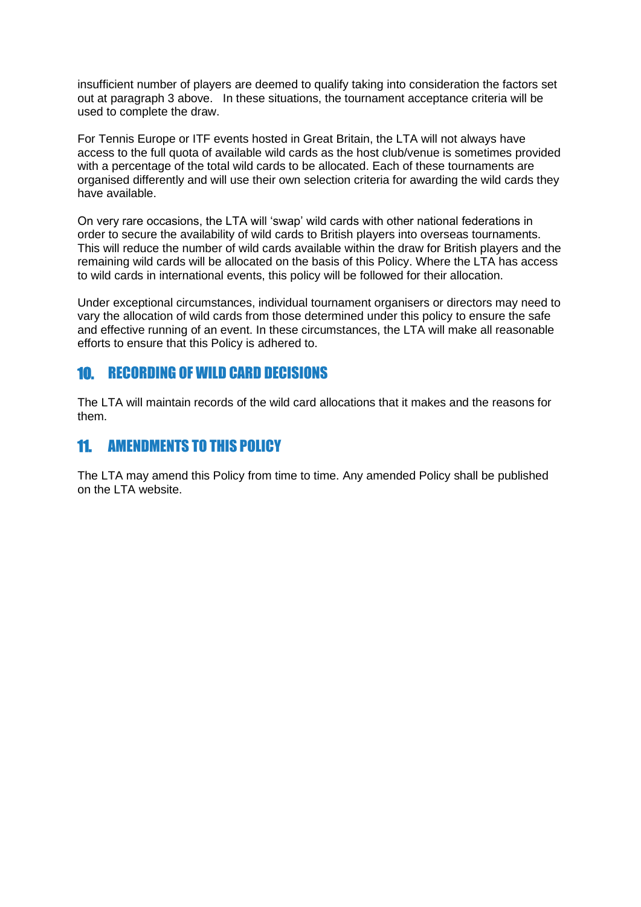insufficient number of players are deemed to qualify taking into consideration the factors set out at paragraph 3 above. In these situations, the tournament acceptance criteria will be used to complete the draw.

For Tennis Europe or ITF events hosted in Great Britain, the LTA will not always have access to the full quota of available wild cards as the host club/venue is sometimes provided with a percentage of the total wild cards to be allocated. Each of these tournaments are organised differently and will use their own selection criteria for awarding the wild cards they have available.

On very rare occasions, the LTA will 'swap' wild cards with other national federations in order to secure the availability of wild cards to British players into overseas tournaments. This will reduce the number of wild cards available within the draw for British players and the remaining wild cards will be allocated on the basis of this Policy. Where the LTA has access to wild cards in international events, this policy will be followed for their allocation.

Under exceptional circumstances, individual tournament organisers or directors may need to vary the allocation of wild cards from those determined under this policy to ensure the safe and effective running of an event. In these circumstances, the LTA will make all reasonable efforts to ensure that this Policy is adhered to.

## 10. RECORDING OF WILD CARD DECISIONS

The LTA will maintain records of the wild card allocations that it makes and the reasons for them.

### 11. AMENDMENTS TO THIS POLICY

The LTA may amend this Policy from time to time. Any amended Policy shall be published on the LTA website.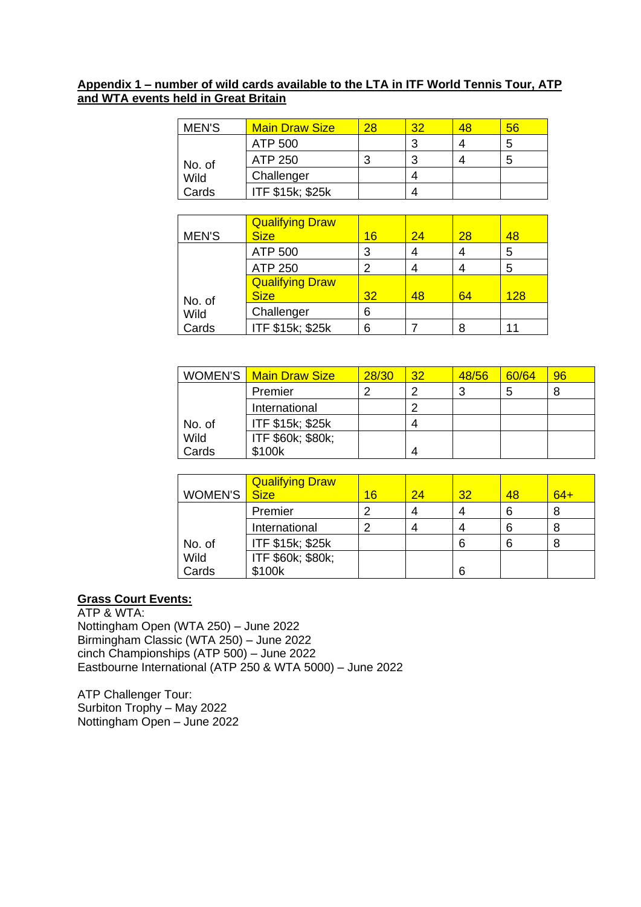#### **Appendix 1 – number of wild cards available to the LTA in ITF World Tennis Tour, ATP and WTA events held in Great Britain**

| <b>MEN'S</b> | <b>Main Draw Size</b> | 28 | 32 | 48 | 56 |
|--------------|-----------------------|----|----|----|----|
|              | ATP 500               |    | ◠  |    | 5  |
| No. of       | ATP 250               |    | ◠  |    | 5  |
| Wild         | Challenger            |    |    |    |    |
| Cards        | ITF \$15k; \$25k      |    |    |    |    |

|              | <b>Qualifying Draw</b> |                 |    |    |     |
|--------------|------------------------|-----------------|----|----|-----|
| <b>MEN'S</b> | <b>Size</b>            | 16              | 24 | 28 | 48  |
|              | ATP 500                | 3               |    |    | 5   |
|              | ATP 250                | 2               |    |    | 5   |
|              | <b>Qualifying Draw</b> |                 |    |    |     |
| No. of       | <b>Size</b>            | 32 <sub>2</sub> | 48 | 64 | 128 |
| Wild         | Challenger             | 6               |    |    |     |
| Cards        | ITF \$15k; \$25k       | 6               |    |    |     |

|        | <b>WOMEN'S</b> Main Draw Size | 28/30 | 32 | 48/56 | 60/64 | 96 |
|--------|-------------------------------|-------|----|-------|-------|----|
|        | Premier                       |       | າ  | 3     |       | 8  |
|        | International                 |       | າ  |       |       |    |
| No. of | ITF \$15k; \$25k              |       | 4  |       |       |    |
| Wild   | ITF \$60k; \$80k;             |       |    |       |       |    |
| Cards  | \$100k                        |       | 4  |       |       |    |

| WOMEN'S | <b>Qualifying Draw</b><br><b>Size</b> | 16 | 24 | 32 | 48 | $64+$ |
|---------|---------------------------------------|----|----|----|----|-------|
|         | Premier                               | ⌒  |    |    | 6  |       |
|         | International                         | າ  |    |    | 6  |       |
| No. of  | ITF \$15k; \$25k                      |    |    | 6  | 6  |       |
| Wild    | ITF \$60k; \$80k;                     |    |    |    |    |       |
| Cards   | \$100k                                |    |    | 6  |    |       |

### **Grass Court Events:**

ATP & WTA: Nottingham Open (WTA 250) – June 2022 Birmingham Classic (WTA 250) – June 2022 cinch Championships (ATP 500) – June 2022 Eastbourne International (ATP 250 & WTA 5000) – June 2022

ATP Challenger Tour: Surbiton Trophy – May 2022 Nottingham Open – June 2022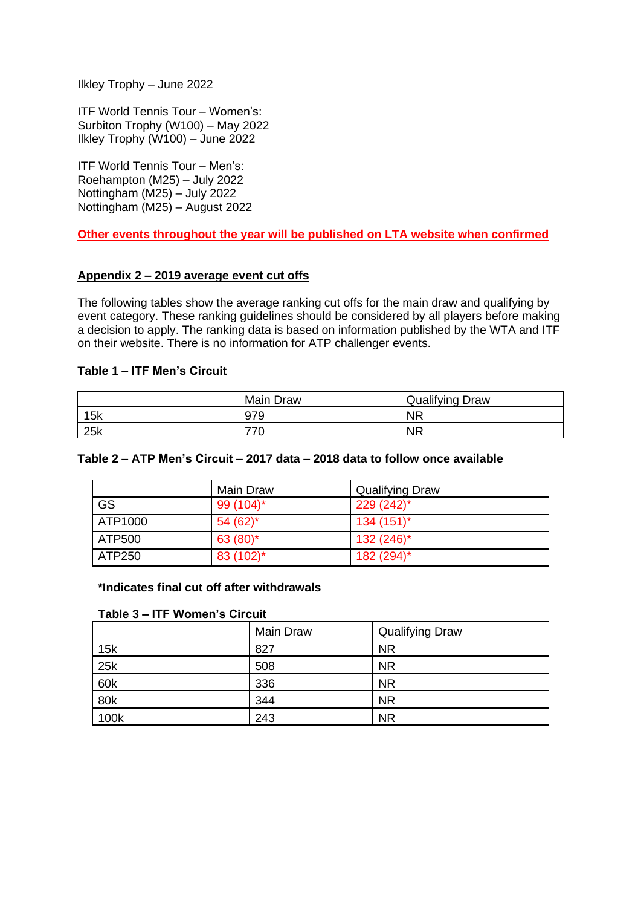Ilkley Trophy – June 2022

ITF World Tennis Tour – Women's: Surbiton Trophy (W100) – May 2022 Ilkley Trophy (W100) – June 2022

ITF World Tennis Tour – Men's: Roehampton (M25) – July 2022 Nottingham (M25) – July 2022 Nottingham (M25) – August 2022

**Other events throughout the year will be published on LTA website when confirmed** 

#### **Appendix 2 – 2019 average event cut offs**

The following tables show the average ranking cut offs for the main draw and qualifying by event category. These ranking guidelines should be considered by all players before making a decision to apply. The ranking data is based on information published by the WTA and ITF on their website. There is no information for ATP challenger events.

#### **Table 1 – ITF Men's Circuit**

|     | <b>Main Draw</b> | <b>Qualifying Draw</b> |
|-----|------------------|------------------------|
| 15k | 979              | <b>NR</b>              |
| 25k | 770              | <b>NR</b>              |

#### **Table 2 – ATP Men's Circuit – 2017 data – 2018 data to follow once available**

|         | Main Draw    | <b>Qualifying Draw</b> |
|---------|--------------|------------------------|
| GS      | 99 $(104)^*$ | $229(242)^{*}$         |
| ATP1000 | $54(62)$ *   | $134(151)^{*}$         |
| ATP500  | 63 $(80)^*$  | $132(246)^*$           |
| ATP250  | 83 (102)*    | 182 (294)*             |

#### **\*Indicates final cut off after withdrawals**

#### **Table 3 – ITF Women's Circuit**

|      | Main Draw | <b>Qualifying Draw</b> |
|------|-----------|------------------------|
| 15k  | 827       | <b>NR</b>              |
| 25k  | 508       | <b>NR</b>              |
| 60k  | 336       | <b>NR</b>              |
| 80k  | 344       | <b>NR</b>              |
| 100k | 243       | <b>NR</b>              |